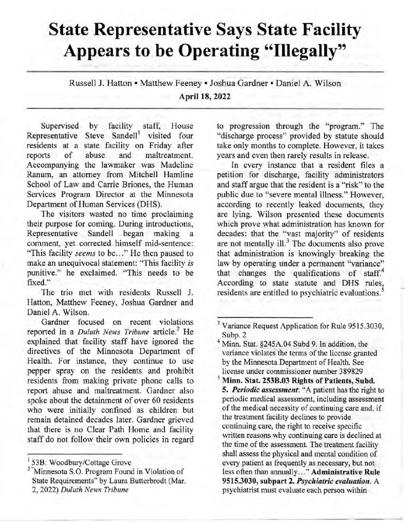## **State Representative Says State Facility Appears to be Operating "Illegally"**

Russell J. Hatton • Matthew Feeney • Joshua Gardner • Daniel A. Wilson April **18,** 2022

Supervised by facility staff, House Representative Steve Sandell' visited four residents at a state facility on Friday after reports of abuse and maltreatment. Accompanying the lawmaker was Madeline Ranum, an attorney from Mitchell Hamline School of Law and Carrie Briones, the Human Services Program Director at the Minnesota Department of Human Services (DHS).

The visitors wasted no time proclaiming their purpose for coming. During introductions, Representative Sandell began making comment, yet corrected himself mid-sentence: "This facility seems to be..." He then paused to make an unequivocal statement: "This facility is punitive." he exclaimed. "This needs to be fixed."

The trio met with residents Russell J. Hatton, Matthew Feeney, Joshua Gardner and Daniel A. Wilson.

Gardner focused on recent violations reported in a Duluth News Tribune article.' He explained that facility staff have ignored the directives of the Minnesota Department of Health. For instance, they continue to use pepper spray on the residents and prohibit residents from making private phone calls to report abuse and maltreatment. Gardner also spoke about the detainment of over 60 residents who were initially confined as children but remain detained decades later. Gardner grieved that there is no Clear Path Home and facility staff do not follow their own policies in regard

to progression through the "program." The "discharge process" provided by statute should take only months to complete. However, it takes years and even then rarely results in release.

In every instance that a resident files a petition for discharge, facility administrators and staff argue that the resident is a "risk" to the public due to "severe mental illness." However, according to recently leaked documents, they are lying. Wilson presented these documents which prove what administration has known for decades: that the "vast majority" of residents are not mentally ill.<sup>3</sup> The documents also prove that administration is knowingly breaking the law by operating under a permanent "variance" that changes the qualifications of staff.<sup>4</sup> According to state statute and DHS rules, residents are entitled to psychiatric evaluations.<sup>5</sup>

**Minn. Stat. 253B.03 Rights of Patients, Subd. 5. Periodic assessment:** "A patient has the right to periodic medical assessment, including assessment of the medical necessity of continuing care and, if the treatment facility declines to provide continuing care, the right to receive specific written reasons why continuing care is declined at the time of the assessment. The treatment facility shall assess the physical and mental condition of every patient as frequently as necessary, but not less often than annually..." **Administrative Rule 9515.3030, subpart 2. Psychiatric evaluation. A**  psychiatrist must evaluate each person within

<sup>53</sup>B: Woodbury/Cottage Grove

<sup>&</sup>lt;sup>2</sup> "Minnesota S.O. Program Found in Violation of State Requirements" by Laura Butterbrodt (Mar. 2, 2022) Duluth News Tribune

<sup>&</sup>lt;sup>3</sup> Variance Request Application for Rule 9515.3030, Subp. 2

Minn. Stat. §245A.04 Subd 9. In addition, the variance violates the terms of the license granted by the Minnesota Department of Health. See license under commissioner number 389829